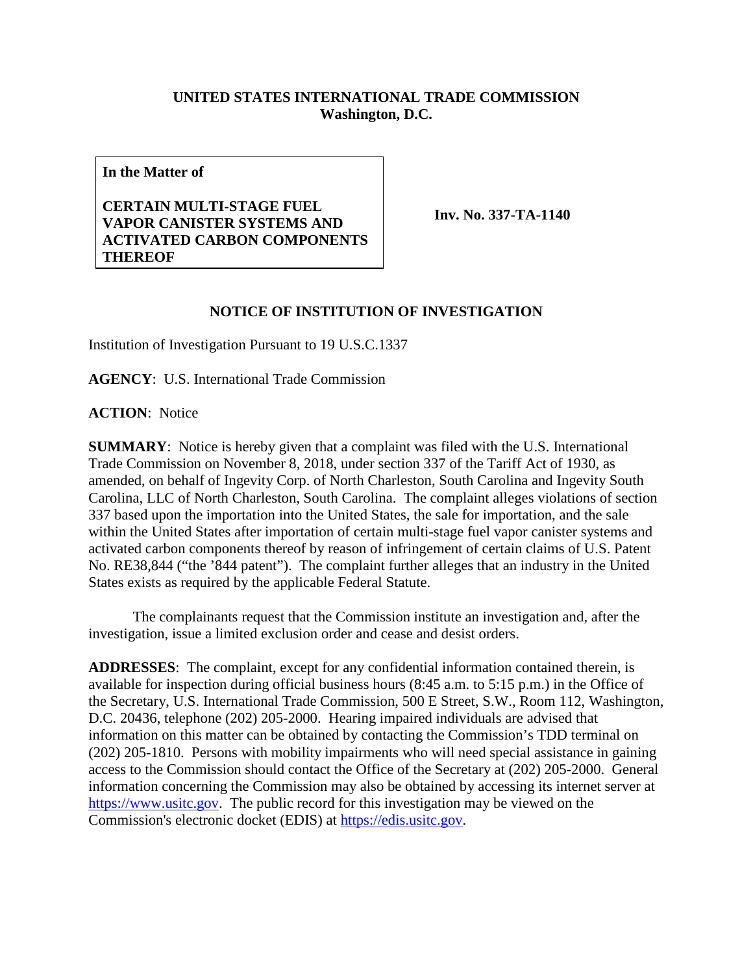## **UNITED STATES INTERNATIONAL TRADE COMMISSION Washington, D.C.**

**In the Matter of**

## **CERTAIN MULTI-STAGE FUEL VAPOR CANISTER SYSTEMS AND ACTIVATED CARBON COMPONENTS THEREOF**

**Inv. No. 337-TA-1140**

## **NOTICE OF INSTITUTION OF INVESTIGATION**

Institution of Investigation Pursuant to 19 U.S.C.1337

**AGENCY**: U.S. International Trade Commission

**ACTION**: Notice

**SUMMARY**: Notice is hereby given that a complaint was filed with the U.S. International Trade Commission on November 8, 2018, under section 337 of the Tariff Act of 1930, as amended, on behalf of Ingevity Corp. of North Charleston, South Carolina and Ingevity South Carolina, LLC of North Charleston, South Carolina. The complaint alleges violations of section 337 based upon the importation into the United States, the sale for importation, and the sale within the United States after importation of certain multi-stage fuel vapor canister systems and activated carbon components thereof by reason of infringement of certain claims of U.S. Patent No. RE38,844 ("the '844 patent"). The complaint further alleges that an industry in the United States exists as required by the applicable Federal Statute.

The complainants request that the Commission institute an investigation and, after the investigation, issue a limited exclusion order and cease and desist orders.

**ADDRESSES**: The complaint, except for any confidential information contained therein, is available for inspection during official business hours (8:45 a.m. to 5:15 p.m.) in the Office of the Secretary, U.S. International Trade Commission, 500 E Street, S.W., Room 112, Washington, D.C. 20436, telephone (202) 205-2000. Hearing impaired individuals are advised that information on this matter can be obtained by contacting the Commission's TDD terminal on (202) 205-1810. Persons with mobility impairments who will need special assistance in gaining access to the Commission should contact the Office of the Secretary at (202) 205-2000. General information concerning the Commission may also be obtained by accessing its internet server at [https://www.usitc.gov.](https://www.usitc.gov/) The public record for this investigation may be viewed on the Commission's electronic docket (EDIS) at [https://edis.usitc.gov.](https://edis.usitc.gov/)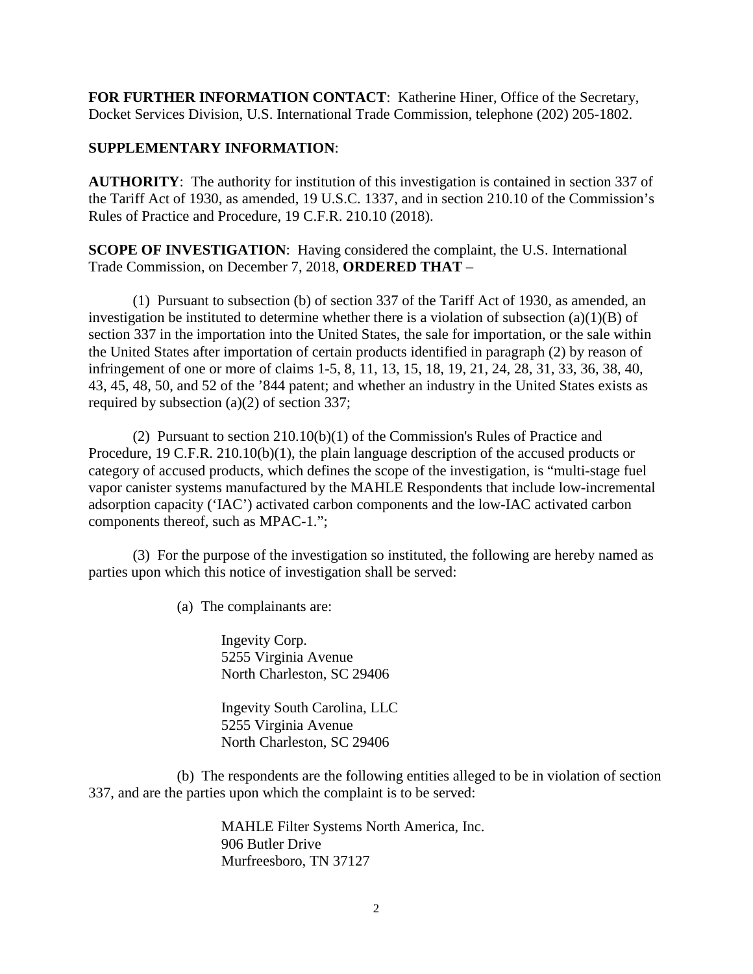**FOR FURTHER INFORMATION CONTACT**: Katherine Hiner, Office of the Secretary, Docket Services Division, U.S. International Trade Commission, telephone (202) 205-1802.

## **SUPPLEMENTARY INFORMATION**:

**AUTHORITY**: The authority for institution of this investigation is contained in section 337 of the Tariff Act of 1930, as amended, 19 U.S.C. 1337, and in section 210.10 of the Commission's Rules of Practice and Procedure, 19 C.F.R. 210.10 (2018).

**SCOPE OF INVESTIGATION**: Having considered the complaint, the U.S. International Trade Commission, on December 7, 2018, **ORDERED THAT** –

(1) Pursuant to subsection (b) of section 337 of the Tariff Act of 1930, as amended, an investigation be instituted to determine whether there is a violation of subsection  $(a)(1)(B)$  of section 337 in the importation into the United States, the sale for importation, or the sale within the United States after importation of certain products identified in paragraph (2) by reason of infringement of one or more of claims 1-5, 8, 11, 13, 15, 18, 19, 21, 24, 28, 31, 33, 36, 38, 40, 43, 45, 48, 50, and 52 of the '844 patent; and whether an industry in the United States exists as required by subsection (a)(2) of section 337;

(2) Pursuant to section 210.10(b)(1) of the Commission's Rules of Practice and Procedure, 19 C.F.R. 210.10(b)(1), the plain language description of the accused products or category of accused products, which defines the scope of the investigation, is "multi-stage fuel vapor canister systems manufactured by the MAHLE Respondents that include low-incremental adsorption capacity ('IAC') activated carbon components and the low-IAC activated carbon components thereof, such as MPAC-1.";

(3) For the purpose of the investigation so instituted, the following are hereby named as parties upon which this notice of investigation shall be served:

(a) The complainants are:

Ingevity Corp. 5255 Virginia Avenue North Charleston, SC 29406

Ingevity South Carolina, LLC 5255 Virginia Avenue North Charleston, SC 29406

(b) The respondents are the following entities alleged to be in violation of section 337, and are the parties upon which the complaint is to be served:

> MAHLE Filter Systems North America, Inc. 906 Butler Drive Murfreesboro, TN 37127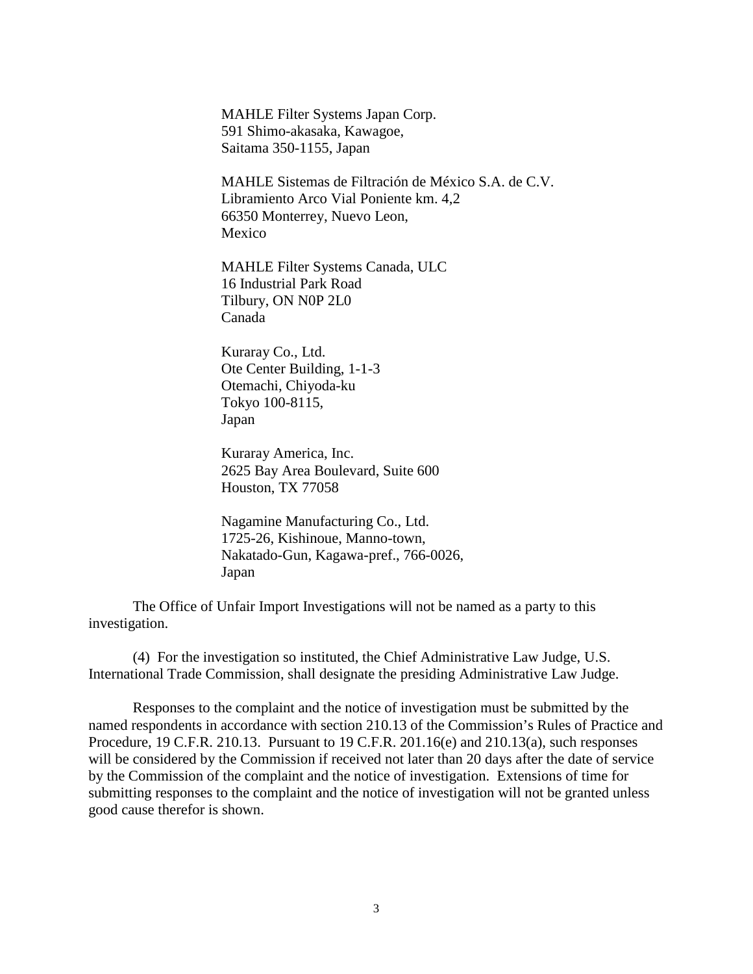MAHLE Filter Systems Japan Corp. 591 Shimo-akasaka, Kawagoe, Saitama 350-1155, Japan

MAHLE Sistemas de Filtración de México S.A. de C.V. Libramiento Arco Vial Poniente km. 4,2 66350 Monterrey, Nuevo Leon, Mexico

MAHLE Filter Systems Canada, ULC 16 Industrial Park Road Tilbury, ON N0P 2L0 Canada

Kuraray Co., Ltd. Ote Center Building, 1-1-3 Otemachi, Chiyoda-ku Tokyo 100-8115, Japan

Kuraray America, Inc. 2625 Bay Area Boulevard, Suite 600 Houston, TX 77058

Nagamine Manufacturing Co., Ltd. 1725-26, Kishinoue, Manno-town, Nakatado-Gun, Kagawa-pref., 766-0026, Japan

The Office of Unfair Import Investigations will not be named as a party to this investigation.

(4) For the investigation so instituted, the Chief Administrative Law Judge, U.S. International Trade Commission, shall designate the presiding Administrative Law Judge.

Responses to the complaint and the notice of investigation must be submitted by the named respondents in accordance with section 210.13 of the Commission's Rules of Practice and Procedure, 19 C.F.R. 210.13. Pursuant to 19 C.F.R. 201.16(e) and 210.13(a), such responses will be considered by the Commission if received not later than 20 days after the date of service by the Commission of the complaint and the notice of investigation. Extensions of time for submitting responses to the complaint and the notice of investigation will not be granted unless good cause therefor is shown.